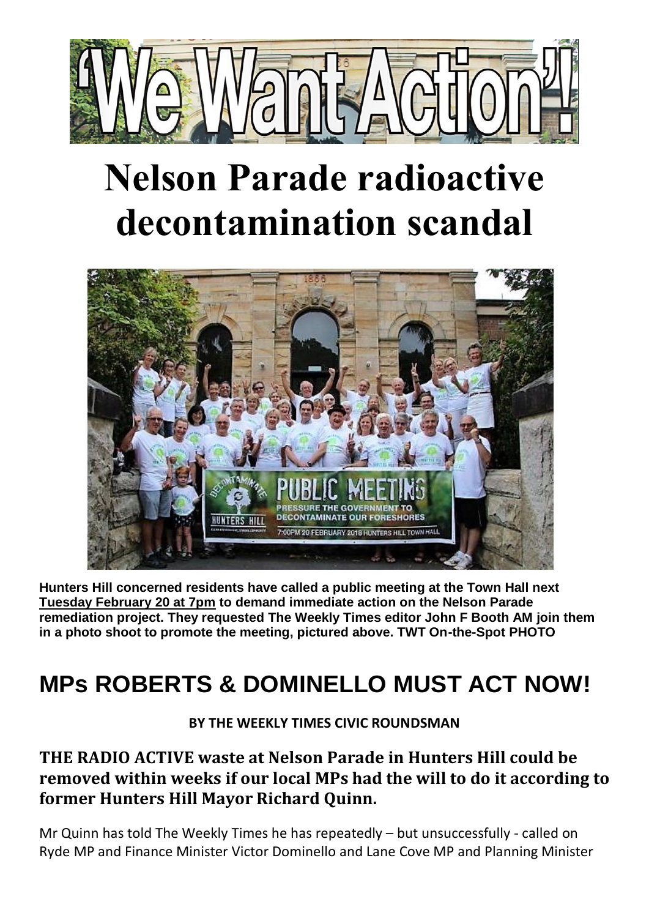

# **Nelson Parade radioactive decontamination scandal**



**Hunters Hill concerned residents have called a public meeting at the Town Hall next Tuesday February 20 at 7pm to demand immediate action on the Nelson Parade remediation project. They requested The Weekly Times editor John F Booth AM join them in a photo shoot to promote the meeting, pictured above. TWT On-the-Spot PHOTO**

## **MPs ROBERTS & DOMINELLO MUST ACT NOW!**

**BY THE WEEKLY TIMES CIVIC ROUNDSMAN**

### **THE RADIO ACTIVE waste at Nelson Parade in Hunters Hill could be removed within weeks if our local MPs had the will to do it according to former Hunters Hill Mayor Richard Quinn.**

Mr Quinn has told The Weekly Times he has repeatedly – but unsuccessfully - called on Ryde MP and Finance Minister Victor Dominello and Lane Cove MP and Planning Minister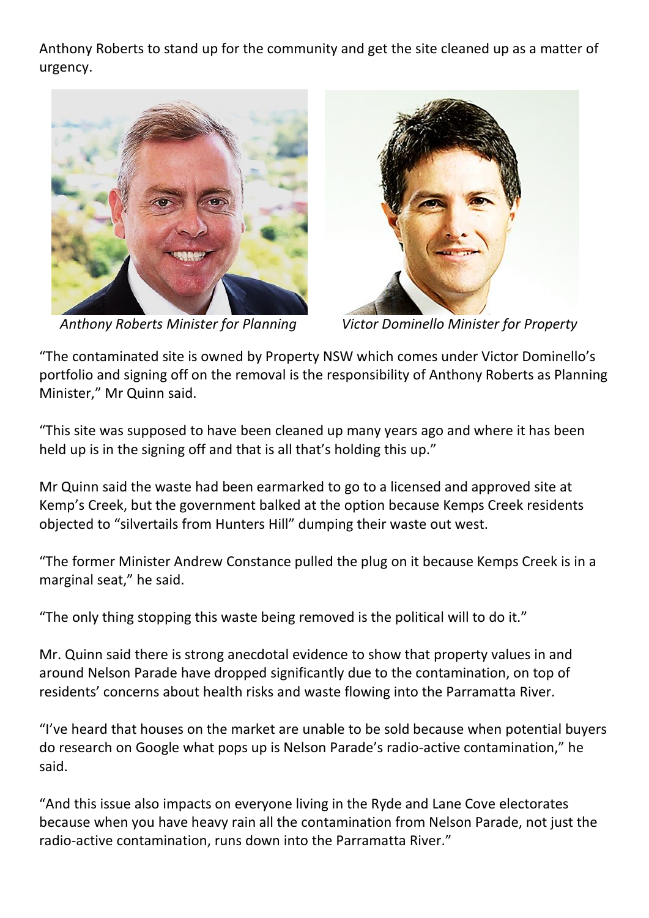Anthony Roberts to stand up for the community and get the site cleaned up as a matter of urgency.





 *Anthony Roberts Minister for Planning Victor Dominello Minister for Property*

"The contaminated site is owned by Property NSW which comes under Victor Dominello's portfolio and signing off on the removal is the responsibility of Anthony Roberts as Planning Minister," Mr Quinn said.

"This site was supposed to have been cleaned up many years ago and where it has been held up is in the signing off and that is all that's holding this up."

Mr Quinn said the waste had been earmarked to go to a licensed and approved site at Kemp's Creek, but the government balked at the option because Kemps Creek residents objected to "silvertails from Hunters Hill" dumping their waste out west.

"The former Minister Andrew Constance pulled the plug on it because Kemps Creek is in a marginal seat," he said.

"The only thing stopping this waste being removed is the political will to do it."

Mr. Quinn said there is strong anecdotal evidence to show that property values in and around Nelson Parade have dropped significantly due to the contamination, on top of residents' concerns about health risks and waste flowing into the Parramatta River.

"I've heard that houses on the market are unable to be sold because when potential buyers do research on Google what pops up is Nelson Parade's radio-active contamination," he said.

"And this issue also impacts on everyone living in the Ryde and Lane Cove electorates because when you have heavy rain all the contamination from Nelson Parade, not just the radio-active contamination, runs down into the Parramatta River."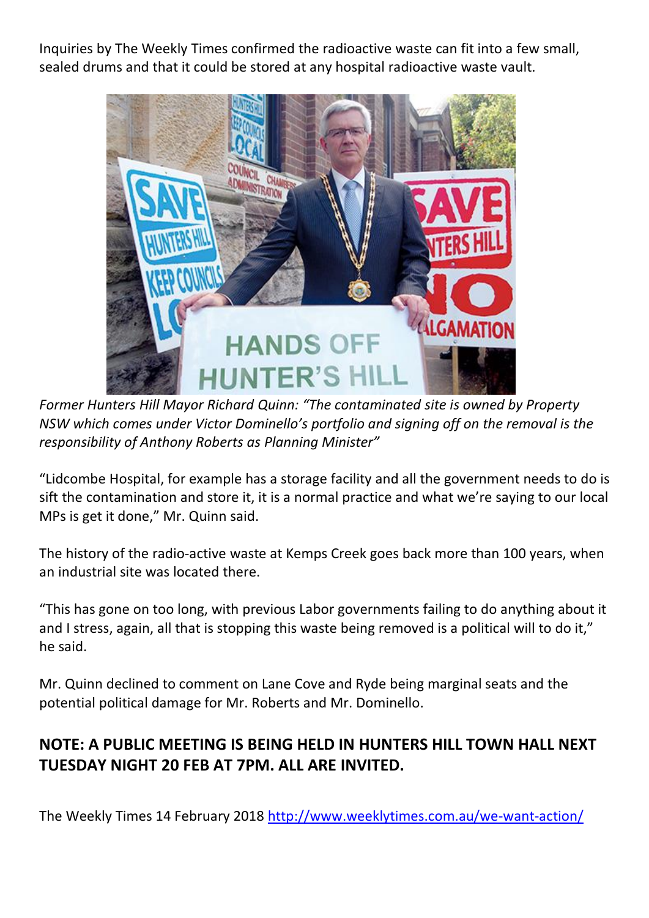Inquiries by The Weekly Times confirmed the radioactive waste can fit into a few small, sealed drums and that it could be stored at any hospital radioactive waste vault.



*Former Hunters Hill Mayor Richard Quinn: "The contaminated site is owned by Property NSW which comes under Victor Dominello's portfolio and signing off on the removal is the responsibility of Anthony Roberts as Planning Minister"*

"Lidcombe Hospital, for example has a storage facility and all the government needs to do is sift the contamination and store it, it is a normal practice and what we're saying to our local MPs is get it done," Mr. Quinn said.

The history of the radio-active waste at Kemps Creek goes back more than 100 years, when an industrial site was located there.

"This has gone on too long, with previous Labor governments failing to do anything about it and I stress, again, all that is stopping this waste being removed is a political will to do it," he said.

Mr. Quinn declined to comment on Lane Cove and Ryde being marginal seats and the potential political damage for Mr. Roberts and Mr. Dominello.

#### **NOTE: A PUBLIC MEETING IS BEING HELD IN HUNTERS HILL TOWN HALL NEXT TUESDAY NIGHT 20 FEB AT 7PM. ALL ARE INVITED.**

The Weekly Times 14 February 2018 <http://www.weeklytimes.com.au/we-want-action/>